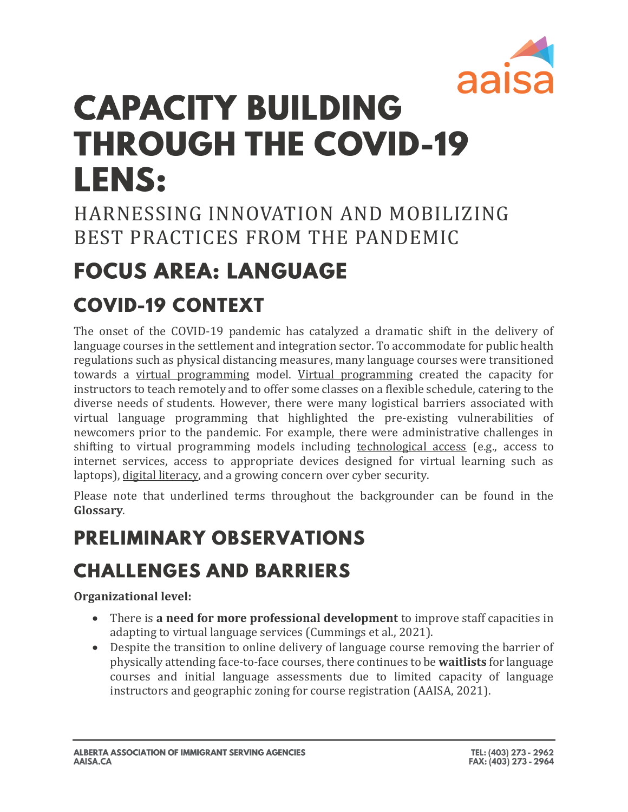

# **CAPACITY BUILDING THROUGH THE COVID-19 LENS:**

HARNESSING INNOVATION AND MOBILIZING BEST PRACTICES FROM THE PANDEMIC

# **FOCUS AREA: LANGUAGE**

### **COVID-19 CONTEXT**

The onset of the COVID-19 pandemic has catalyzed a dramatic shift in the delivery of language courses in the settlement and integration sector. To accommodate for public health regulations such as physical distancing measures, many language courses were transitioned towards a virtual programming model. Virtual programming created the capacity for instructors to teach remotely and to offer some classes on a flexible schedule, catering to the diverse needs of students. However, there were many logistical barriers associated with virtual language programming that highlighted the pre-existing vulnerabilities of newcomers prior to the pandemic. For example, there were administrative challenges in shifting to virtual programming models including technological access (e.g., access to internet services, access to appropriate devices designed for virtual learning such as laptops), digital literacy, and a growing concern over cyber security.

Please note that underlined terms throughout the backgrounder can be found in the **Glossary**.

### **PRELIMINARY OBSERVATIONS**

### **CHALLENGES AND BARRIERS**

**Organizational level:**

- There is **a need for more professional development** to improve staff capacities in adapting to virtual language services (Cummings et al., 2021).
- Despite the transition to online delivery of language course removing the barrier of physically attending face-to-face courses, there continues to be **waitlists** for language courses and initial language assessments due to limited capacity of language instructors and geographic zoning for course registration (AAISA, 2021).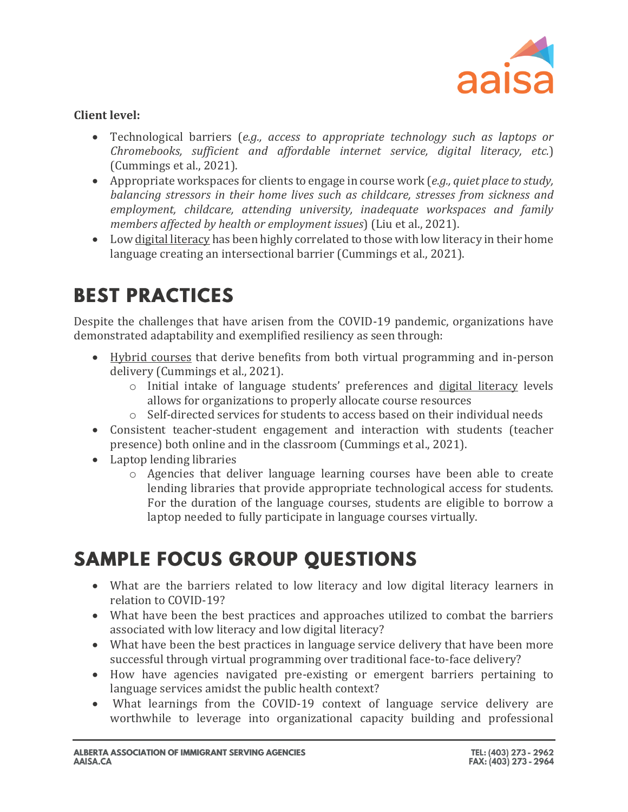

#### **Client level:**

- Technological barriers (*e.g., access to appropriate technology such as laptops or Chromebooks, sufficient and affordable internet service, digital literacy, etc.*) (Cummings et al., 2021).
- Appropriate workspaces for clients to engage in course work (*e.g., quiet place to study, balancing stressors in their home lives such as childcare, stresses from sickness and employment, childcare, attending university, inadequate workspaces and family members affected by health or employment issues*) (Liu et al., 2021).
- Low digital literacy has been highly correlated to those with low literacy in their home language creating an intersectional barrier (Cummings et al., 2021).

### **BEST PRACTICES**

Despite the challenges that have arisen from the COVID-19 pandemic, organizations have demonstrated adaptability and exemplified resiliency as seen through:

- Hybrid courses that derive benefits from both virtual programming and in-person delivery (Cummings et al., 2021).
	- o Initial intake of language students' preferences and digital literacy levels allows for organizations to properly allocate course resources
	- o Self-directed services for students to access based on their individual needs
- Consistent teacher-student engagement and interaction with students (teacher presence) both online and in the classroom (Cummings et al., 2021).
- Laptop lending libraries
	- o Agencies that deliver language learning courses have been able to create lending libraries that provide appropriate technological access for students. For the duration of the language courses, students are eligible to borrow a laptop needed to fully participate in language courses virtually.

### **SAMPLE FOCUS GROUP QUESTIONS**

- What are the barriers related to low literacy and low digital literacy learners in relation to COVID-19?
- What have been the best practices and approaches utilized to combat the barriers associated with low literacy and low digital literacy?
- What have been the best practices in language service delivery that have been more successful through virtual programming over traditional face-to-face delivery?
- How have agencies navigated pre-existing or emergent barriers pertaining to language services amidst the public health context?
- What learnings from the COVID-19 context of language service delivery are worthwhile to leverage into organizational capacity building and professional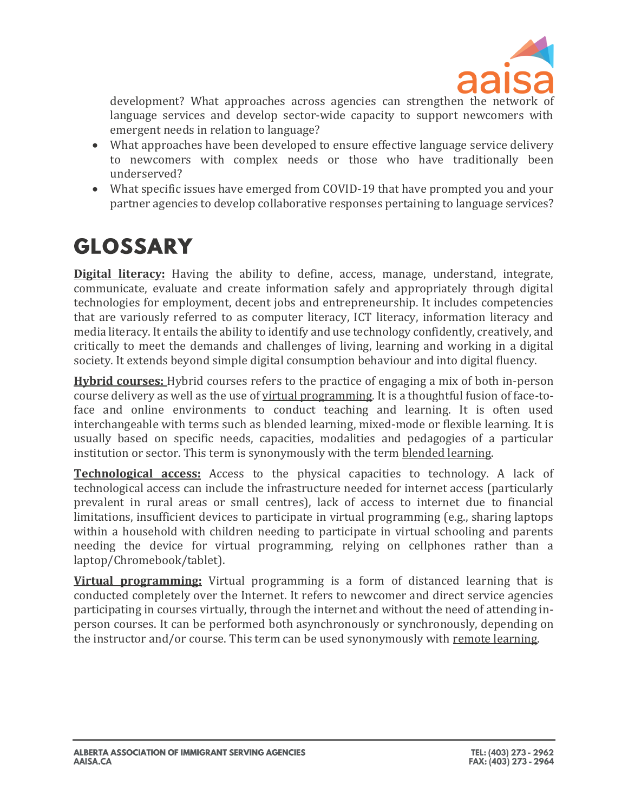

development? What approaches across agencies can strengthen the network of language services and develop sector-wide capacity to support newcomers with emergent needs in relation to language?

- What approaches have been developed to ensure effective language service delivery to newcomers with complex needs or those who have traditionally been underserved?
- What specific issues have emerged from COVID-19 that have prompted you and your partner agencies to develop collaborative responses pertaining to language services?

## **GLOSSARY**

**[Digital literacy:](http://uis.unesco.org/en/blog/global-framework-measure-digital-literacy)** Having the ability to define, access, manage, understand, integrate, communicate, evaluate and create information safely and appropriately through digital technologies for employment, decent jobs and entrepreneurship. It includes competencies that are variously referred to as computer literacy, ICT literacy, information literacy and media literacy. It entails the ability to identify and use technology confidently, creatively, and critically to meet the demands and challenges of living, learning and working in a digital society. It extends beyond simple digital consumption behaviour and into digital fluency.

**[Hybrid courses:](https://aaisa.sharepoint.com/ops/Shared%20Documents/Engagement,%20Research,%20&%20Policy/GoA%20Community%20Capacity%20Project/Literature%20Review/External%20Resources%20Cited/EN%20Settlement%20Sector%20%20Technology%20Task%20Group%20-%20final%20report%20and%20recommen.._.pdf)** Hybrid courses refers to the practice of engaging a mix of both in-person course delivery as well as the use of virtual programming. It is a thoughtful fusion of face-toface and online environments to conduct teaching and learning. It is often used interchangeable with terms such as blended learning, mixed-mode or flexible learning. It is usually based on specific needs, capacities, modalities and pedagogies of a particular institution or sector. This term is synonymously with the term blended learning.

**Technological access:** Access to the physical capacities to technology. A lack of technological access can include the infrastructure needed for internet access (particularly prevalent in rural areas or small centres), lack of access to internet due to financial limitations, insufficient devices to participate in virtual programming (e.g., sharing laptops within a household with children needing to participate in virtual schooling and parents needing the device for virtual programming, relying on cellphones rather than a laptop/Chromebook/tablet).

**[Virtual programming:](https://www.amssa.org/wp-content/uploads/2021/05/EN-Settlement-Sector-Technology-Task-Group-final-report-and-recommendations.pdf)** Virtual programming is a form of distanced learning that is conducted completely over the Internet. It refers to newcomer and direct service agencies participating in courses virtually, through the internet and without the need of attending inperson courses. It can be performed both asynchronously or synchronously, depending on the instructor and/or course. This term can be used synonymously with remote learning.